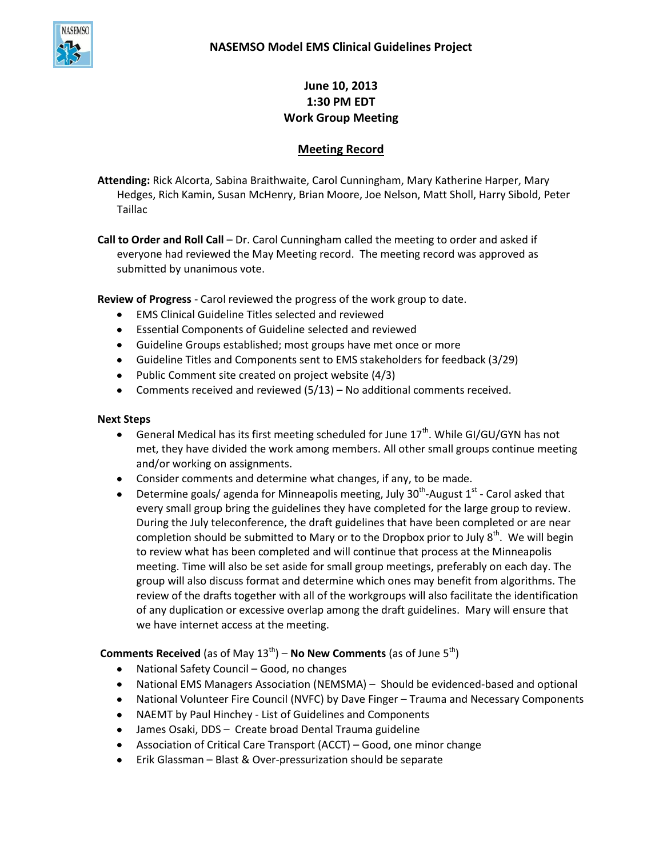

# **June 10, 2013 1:30 PM EDT Work Group Meeting**

# **Meeting Record**

**Attending:** Rick Alcorta, Sabina Braithwaite, Carol Cunningham, Mary Katherine Harper, Mary Hedges, Rich Kamin, Susan McHenry, Brian Moore, Joe Nelson, Matt Sholl, Harry Sibold, Peter Taillac

**Call to Order and Roll Call** – Dr. Carol Cunningham called the meeting to order and asked if everyone had reviewed the May Meeting record. The meeting record was approved as submitted by unanimous vote.

**Review of Progress** - Carol reviewed the progress of the work group to date.

- EMS Clinical Guideline Titles selected and reviewed
- Essential Components of Guideline selected and reviewed
- Guideline Groups established; most groups have met once or more
- Guideline Titles and Components sent to EMS stakeholders for feedback (3/29)
- Public Comment site created on project website (4/3)
- Comments received and reviewed (5/13) No additional comments received.

#### **Next Steps**

- General Medical has its first meeting scheduled for June  $17<sup>th</sup>$ . While GI/GU/GYN has not  $\bullet$ met, they have divided the work among members. All other small groups continue meeting and/or working on assignments.
- Consider comments and determine what changes, if any, to be made.
- Determine goals/ agenda for Minneapolis meeting, July 30<sup>th</sup>-August 1<sup>st</sup> Carol asked that every small group bring the guidelines they have completed for the large group to review. During the July teleconference, the draft guidelines that have been completed or are near completion should be submitted to Mary or to the Dropbox prior to July  $8^{th}$ . We will begin to review what has been completed and will continue that process at the Minneapolis meeting. Time will also be set aside for small group meetings, preferably on each day. The group will also discuss format and determine which ones may benefit from algorithms. The review of the drafts together with all of the workgroups will also facilitate the identification of any duplication or excessive overlap among the draft guidelines. Mary will ensure that we have internet access at the meeting.

## **Comments Received** (as of May 13<sup>th</sup>) – **No New Comments** (as of June 5<sup>th</sup>)

- National Safety Council Good, no changes  $\bullet$
- National EMS Managers Association (NEMSMA) Should be evidenced-based and optional  $\bullet$
- National Volunteer Fire Council (NVFC) by Dave Finger Trauma and Necessary Components
- NAEMT by Paul Hinchey List of Guidelines and Components
- James Osaki, DDS Create broad Dental Trauma guideline
- Association of Critical Care Transport (ACCT) Good, one minor change  $\bullet$
- $\bullet$ Erik Glassman – Blast & Over-pressurization should be separate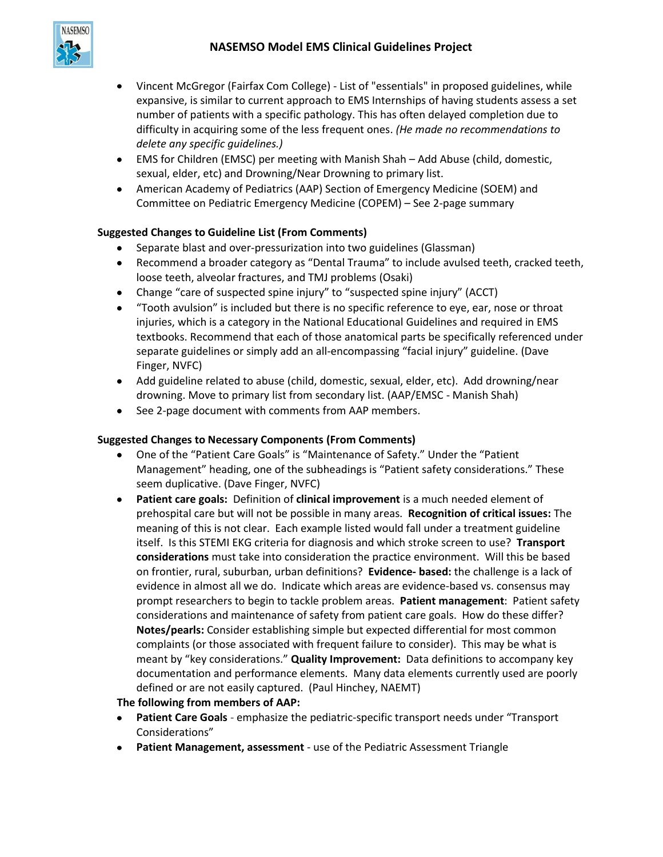

- Vincent McGregor (Fairfax Com College) List of "essentials" in proposed guidelines, while  $\bullet$ expansive, is similar to current approach to EMS Internships of having students assess a set number of patients with a specific pathology. This has often delayed completion due to difficulty in acquiring some of the less frequent ones. *(He made no recommendations to delete any specific guidelines.)*
- EMS for Children (EMSC) per meeting with Manish Shah Add Abuse (child, domestic, sexual, elder, etc) and Drowning/Near Drowning to primary list.
- American Academy of Pediatrics (AAP) Section of Emergency Medicine (SOEM) and Committee on Pediatric Emergency Medicine (COPEM) – See 2-page summary

# **Suggested Changes to Guideline List (From Comments)**

- $\bullet$ Separate blast and over-pressurization into two guidelines (Glassman)
- Recommend a broader category as "Dental Trauma" to include avulsed teeth, cracked teeth, loose teeth, alveolar fractures, and TMJ problems (Osaki)
- Change "care of suspected spine injury" to "suspected spine injury" (ACCT)
- "Tooth avulsion" is included but there is no specific reference to eye, ear, nose or throat injuries, which is a category in the National Educational Guidelines and required in EMS textbooks. Recommend that each of those anatomical parts be specifically referenced under separate guidelines or simply add an all-encompassing "facial injury" guideline. (Dave Finger, NVFC)
- Add guideline related to abuse (child, domestic, sexual, elder, etc). Add drowning/near drowning. Move to primary list from secondary list. (AAP/EMSC - Manish Shah)
- See 2-page document with comments from AAP members.

## **Suggested Changes to Necessary Components (From Comments)**

- One of the "Patient Care Goals" is "Maintenance of Safety." Under the "Patient Management" heading, one of the subheadings is "Patient safety considerations." These seem duplicative. (Dave Finger, NVFC)
- $\bullet$ **Patient care goals:** Definition of **clinical improvement** is a much needed element of prehospital care but will not be possible in many areas. **Recognition of critical issues:** The meaning of this is not clear. Each example listed would fall under a treatment guideline itself. Is this STEMI EKG criteria for diagnosis and which stroke screen to use? **Transport considerations** must take into consideration the practice environment. Will this be based on frontier, rural, suburban, urban definitions? **Evidence- based:** the challenge is a lack of evidence in almost all we do. Indicate which areas are evidence-based vs. consensus may prompt researchers to begin to tackle problem areas. **Patient management**: Patient safety considerations and maintenance of safety from patient care goals. How do these differ? **Notes/pearls:** Consider establishing simple but expected differential for most common complaints (or those associated with frequent failure to consider). This may be what is meant by "key considerations." **Quality Improvement:** Data definitions to accompany key documentation and performance elements. Many data elements currently used are poorly defined or are not easily captured. (Paul Hinchey, NAEMT)

## **The following from members of AAP:**

- **Patient Care Goals** emphasize the pediatric-specific transport needs under "Transport Considerations"
- **Patient Management, assessment** use of the Pediatric Assessment Triangle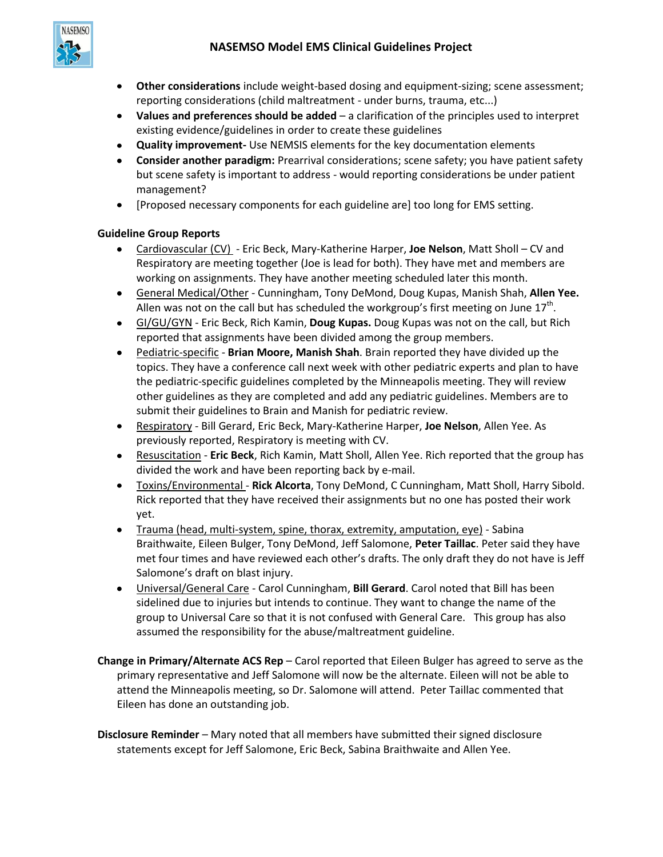# **NASEMSO Model EMS Clinical Guidelines Project**



- **Other considerations** include weight-based dosing and equipment-sizing; scene assessment; reporting considerations (child maltreatment - under burns, trauma, etc...)
- **Values and preferences should be added** a clarification of the principles used to interpret existing evidence/guidelines in order to create these guidelines
- **Quality improvement-** Use NEMSIS elements for the key documentation elements
- **Consider another paradigm:** Prearrival considerations; scene safety; you have patient safety but scene safety is important to address - would reporting considerations be under patient management?
- $\bullet$ [Proposed necessary components for each guideline are] too long for EMS setting.

#### **Guideline Group Reports**

- Cardiovascular (CV) Eric Beck, Mary-Katherine Harper, **Joe Nelson**, Matt Sholl CV and  $\bullet$ Respiratory are meeting together (Joe is lead for both). They have met and members are working on assignments. They have another meeting scheduled later this month.
- General Medical/Other Cunningham, Tony DeMond, Doug Kupas, Manish Shah, **Allen Yee.** Allen was not on the call but has scheduled the workgroup's first meeting on June 17<sup>th</sup>.
- GI/GU/GYN Eric Beck, Rich Kamin, **Doug Kupas.** Doug Kupas was not on the call, but Rich reported that assignments have been divided among the group members.
- Pediatric-specific **Brian Moore, Manish Shah**. Brain reported they have divided up the topics. They have a conference call next week with other pediatric experts and plan to have the pediatric-specific guidelines completed by the Minneapolis meeting. They will review other guidelines as they are completed and add any pediatric guidelines. Members are to submit their guidelines to Brain and Manish for pediatric review.
- Respiratory Bill Gerard, Eric Beck, Mary-Katherine Harper, **Joe Nelson**, Allen Yee. As previously reported, Respiratory is meeting with CV.
- Resuscitation **Eric Beck**, Rich Kamin, Matt Sholl, Allen Yee. Rich reported that the group has divided the work and have been reporting back by e-mail.
- Toxins/Environmental **Rick Alcorta**, Tony DeMond, C Cunningham, Matt Sholl, Harry Sibold.  $\bullet$ Rick reported that they have received their assignments but no one has posted their work yet.
- Trauma (head, multi-system, spine, thorax, extremity, amputation, eye) Sabina Braithwaite, Eileen Bulger, Tony DeMond, Jeff Salomone, **Peter Taillac**. Peter said they have met four times and have reviewed each other's drafts. The only draft they do not have is Jeff Salomone's draft on blast injury.
- Universal/General Care Carol Cunningham, **Bill Gerard**. Carol noted that Bill has been  $\bullet$ sidelined due to injuries but intends to continue. They want to change the name of the group to Universal Care so that it is not confused with General Care. This group has also assumed the responsibility for the abuse/maltreatment guideline.
- **Change in Primary/Alternate ACS Rep**  Carol reported that Eileen Bulger has agreed to serve as the primary representative and Jeff Salomone will now be the alternate. Eileen will not be able to attend the Minneapolis meeting, so Dr. Salomone will attend. Peter Taillac commented that Eileen has done an outstanding job.
- **Disclosure Reminder** Mary noted that all members have submitted their signed disclosure statements except for Jeff Salomone, Eric Beck, Sabina Braithwaite and Allen Yee.